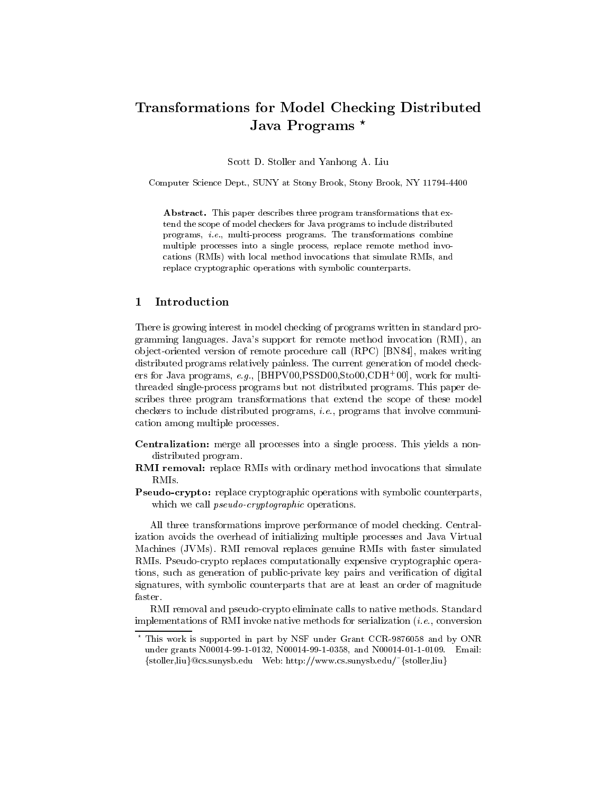# Transformations for Model Checking Distributed Java Programs ?

Scott D. Stoller and Yanhong A. Liu

Computer Science Dept., SUNY at Stony Brook, Stony Brook, NY 11794-4400

Abstract. This paper describes three program transformations that extend the scope of model checkers for Java programs to include distributed programs, i.e., multi-process programs. The transformations combine multiple processes into a single process, replace remote method invo cations (RMIs) with local method invocations that simulate RMIs, and replace cryptographic operations with symbolic counterparts.

#### 1Introduction

There is growing interest in model checking of programs written in standard programming languages. Java's support for remote method invocation (RMI), an ob ject-oriented version of remote procedure call (RPC) [BN84], makes writing distributed programs relatively painless. The current generation of model checkers for Java programs, e.g., [BHPV00,PSSD00,Sto00,CDH<sup>+</sup> 00], work for multithreaded single-process programs but not distributed programs. This paper describes three program transformations that extend the scope of these model checkers to include distributed programs, i.e., programs that involve communication among multiple processes.

- Centralization: merge all processes into a single process. This yields a nondistributed program.
- RMI removal: replace RMIs with ordinary method invocations that simulate RMIs.

Pseudo-crypto: replace cryptographic operations with symbolic counterparts, which we call *pseudo-cryptographic* operations.

All three transformations improve performance of model checking. Centralization avoids the overhead of initializing multiple processes and Java Virtual Machines (JVMs). RMI removal replaces genuine RMIs with faster simulated RMIs. Pseudo-crypto replaces computationally expensive cryptographic operations, such as generation of public-private key pairs and verication of digital signatures, with symbolic counterparts that are at least an order of magnitude faster.

RMI removal and pseudo-crypto eliminate calls to native methods. Standard implementations of RMI invoke native methods for serialization  $(i.e.,$  conversion

<sup>?</sup> This work is supported in part by NSF under Grant CCR-9876058 and by ONR under grants N00014-99-1-0132, N00014-99-1-0358, and N00014-01-1-0109. Email: fstoller,liug@cs.sunysb.edu Web: http://www.cs.sunysb.edu/~fstoller,liug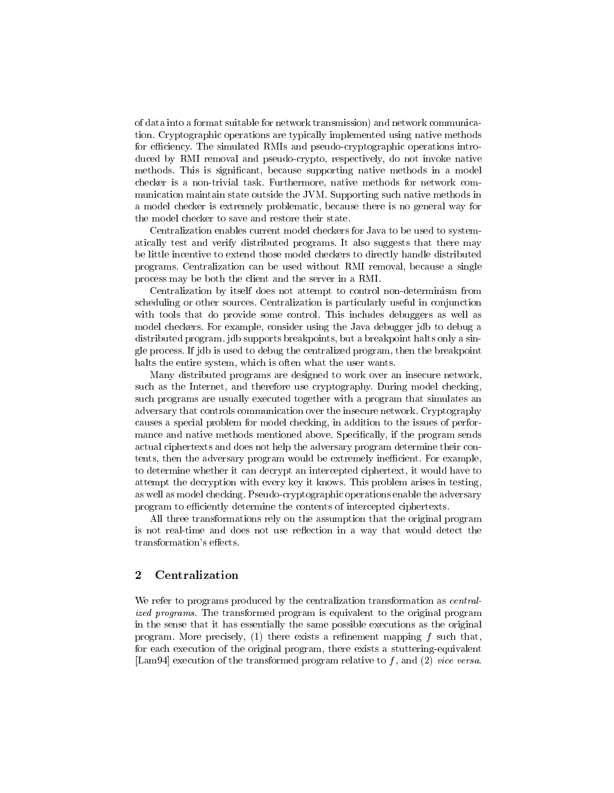of data into a format suitable for network transmission) and network communication. Cryptographic operations are typically implemented using native methods for efficiency. The simulated RMIs and pseudo-cryptographic operations introduced by RMI removal and pseudo-crypto, respectively, do not invoke native methods. This is signicant, because supporting native methods in a model checker is a non-trivial task. Furthermore, native methods for network com munication maintain state outside the JVM. Supporting such native methods in a model checker is extremely problematic, because there is no general way for the model checker to save and restore their state.

Centralization enables current model checkers for Java to be used to systematically test and verify distributed programs. It also suggests that there may be little incentive to extend those model checkers to directly handle distributed programs. Centralization can be used without RMI removal, because a single process may be both the client and the server in a RMI.

Centralization by itself does not attempt to control non-determinism from scheduling or other sources. Centralization is particularly useful in conjunction with tools that do provide some control. This includes debuggers as well as model checkers. For example, consider using the Java debugger jdb to debug a distributed program. jdb supports breakpoints, but a breakpoint halts only a single process. If jdb is used to debug the centralized program, then the breakpoint halts the entire system, which is often what the user wants.

Many distributed programs are designed to work over an insecure network, such as the Internet, and therefore use cryptography. During model checking, such programs are usually executed together with a program that simulates an adversary that controls communication over the insecure network. Cryptography causes a special problem for model checking, in addition to the issues of performance and native methods mentioned above. Specically, if the program sends actual ciphertexts and does not help the adversary program determine their contents, then the adversary program would be extremely inefficient. For example, to determine whether it can decrypt an intercepted ciphertext, it would have to attempt the decryption with every key it knows. This problem arises in testing, as well as model checking. Pseudo-cryptographic operations enable the adversary program to efficiently determine the contents of intercepted ciphertexts.

All three transformations rely on the assumption that the original program is not real-time and does not use reflection in a way that would detect the transformation's effects.

## 2Centralization

We refer to programs produced by the centralization transformation as *central*ized programs. The transformed program is equivalent to the original program in the sense that it has essentially the same possible executions as the original program. More precisely, (1) there exists a refinement mapping  $f$  such that, for each execution of the original program, there exists a stuttering-equivalent [Lam94] execution of the transformed program relative to f, and (2) vice versa.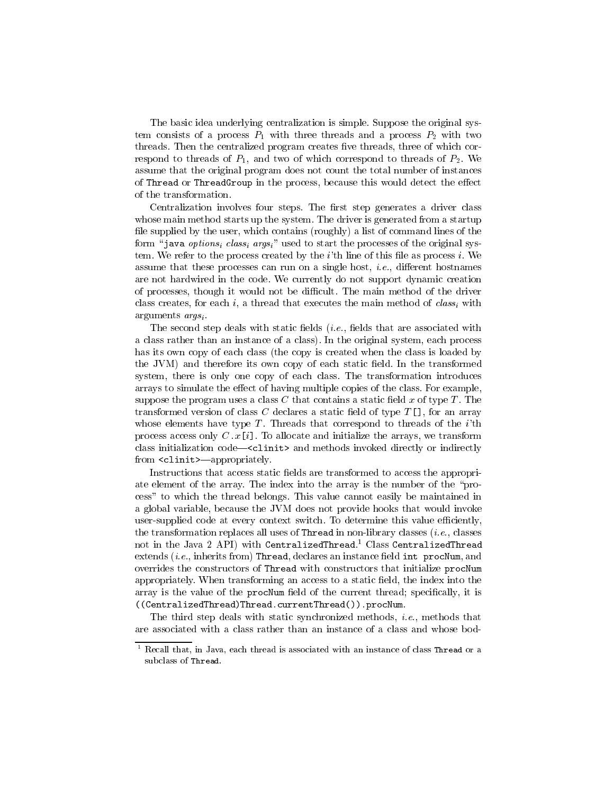The basic idea underlying centralization is simple. Suppose the original system consists of a process  $P_1$  with three threads and a process  $P_2$  with two threads. Then the centralized program creates five threads, three of which correspond to threads of  $P_1$ , and two of which correspond to threads of  $P_2$ . We assume that the original program does not count the total number of instances of Thread or ThreadGroup in the process, because this would detect the effect of the transformation.

Centralization involves four steps. The first step generates a driver class whose main method starts up the system. The driver is generated from a startup file supplied by the user, which contains (roughly) a list of command lines of the form "java options<sub>i</sub> class<sub>i</sub> args<sub>i</sub>" used to start the processes of the original system. We refer to the process created by the  $i$ 'th line of this file as process  $i$ . We assume that these processes can run on a single host, *i.e.*, different hostnames are not hardwired in the code. We currently do not support dynamic creation of processes, though it would not be difficult. The main method of the driver class creates, for each i, a thread that executes the main method of  $class_i$  with arguments  $args_i$ .

The second step deals with static fields  $(i.e.,$  fields that are associated with a class rather than an instance of a class). In the original system, each process has its own copy of each class (the copy is created when the class is loaded by the JVM) and therefore its own copy of each static field. In the transformed system, there is only one copy of each class. The transformation introduces arrays to simulate the effect of having multiple copies of the class. For example, suppose the program uses a class  $C$  that contains a static field  $x$  of type  $T$ . The transformed version of class C declares a static field of type  $T[\,]$ , for an array whose elements have type  $T$ . Threads that correspond to threads of the *i*'th process access only  $C \cdot x[i]$ . To allocate and initialize the arrays, we transform class initialization code|<clinit> and methods invoked directly or indirectly from <clinit>---appropriately.

Instructions that access static fields are transformed to access the appropriate element of the array. The index into the array is the number of the "process" to which the thread belongs. This value cannot easily be maintained in a global variable, because the JVM does not provide hooks that would invoke user-supplied code at every context switch. To determine this value efficiently, the transformation replaces all uses of Thread in non-library classes  $(i.e.,$  classes not in the Java 2 API) with CentralizedThread.<sup>1</sup> Class CentralizedThread extends  $(i.e.,$  inherits from) Thread, declares an instance field int procNum, and overrides the constructors of Thread with constructors that initialize procNum appropriately. When transforming an access to a static field, the index into the array is the value of the  $\mathbf{p}$  procNum field of the current thread; specifically, it is ((CentralizedThread)Thread.currentThread()).procNum.

The third step deals with static synchronized methods, i.e., methods that are associated with a class rather than an instance of a class and whose bod-

<sup>1</sup> Recall that, in Java, each thread is associated with an instance of class Thread or a subclass of Thread.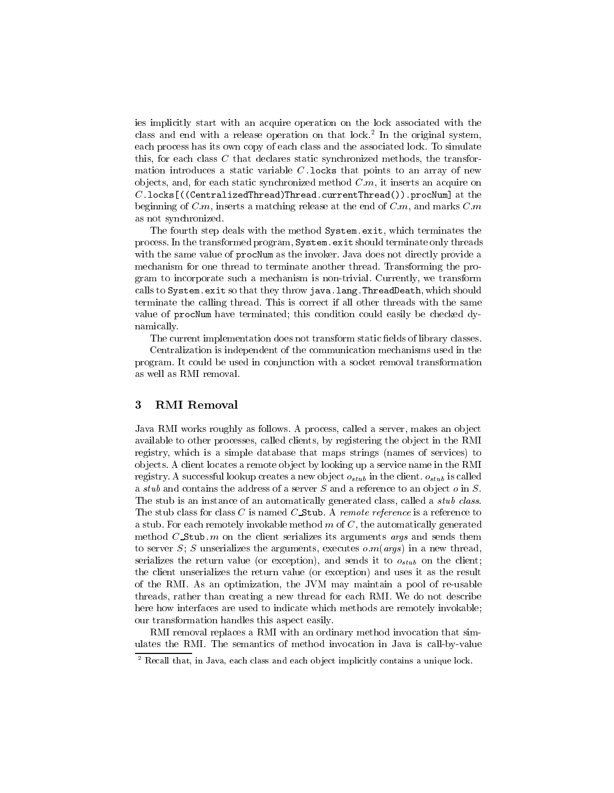ies implicitly start with an acquire operation on the lock associated with the class and end with a release operation on that lock.2 In the original system, each process has its own copy of each class and the associated lock. To simulate this, for each class  $C$  that declares static synchronized methods, the transformation introduces a static variable  $C$ . Locks that points to an array of new objects, and, for each static synchronized method  $C.m$ , it inserts an acquire on  $C.\texttt{locks}$ [((CentralizedThread)Thread.currentThread()).procNum] at the beginning of C $,m$ , inserts a matching release at the end of  $C.m$ , and marks  $C.m$ as not synchronized.

The fourth step deals with the method System.exit, which terminates the process. In the transformed program, System.exit should terminate only threads with the same value of procNum as the invoker. Java does not directly provide a mechanism for one thread to terminate another thread. Transforming the program to incorporate such a mechanism is non-trivial. Currently, we transform calls to System.exit so that they throw java.lang.ThreadDeath, which should terminate the calling thread. This is correct if all other threads with the same value of procNum have terminated; this condition could easily be checked dynamically.

The current implementation does not transform static fields of library classes.

Centralization is independent of the communication mechanisms used in the program. It could be used in conjunction with a socket removal transformation as well as RMI removal.

## 3RMI Removal

Java RMI works roughly as follows. A process, called a server, makes an object available to other processes, called clients, by registering the object in the RMI registry, which is a simple database that maps strings (names of services) to ob jects. A client locates a remote ob ject by looking up a service name in the RMI registry. A successful lookup creates a new object  $o_{stu}$  in the client.  $o_{stu}$  is called a stub and contains the address of a server  $S$  and a reference to an object  $o$  in  $S$ . The stub is an instance of an automatically generated class, called a *stub class*. The stub class for class  $C$  is named  $C$  Stub. A remote reference is a reference to a stub. For each remotely invokable method  $m$  of  $C$ , the automatically generated method  $C$ -Stub. m on the client serializes its arguments args and sends them to server S; S unserializes the arguments, executes  $o.m(args)$  in a new thread, serializes the return value (or exception), and sends it to  $o_{stu}$  on the client; the client unserializes the return value (or exception) and uses it as the result of the RMI. As an optimization, the JVM may maintain a pool of re-usable threads, rather than creating a new thread for each RMI. We do not describe here how interfaces are used to indicate which methods are remotely invokable; our transformation handles this aspect easily.

RMI removal replaces a RMI with an ordinary method invocation that simulates the RMI. The semantics of method invocation in Java is call-by-value

<sup>2</sup> Recall that, in Java, each class and each ob ject implicitly contains a unique lock.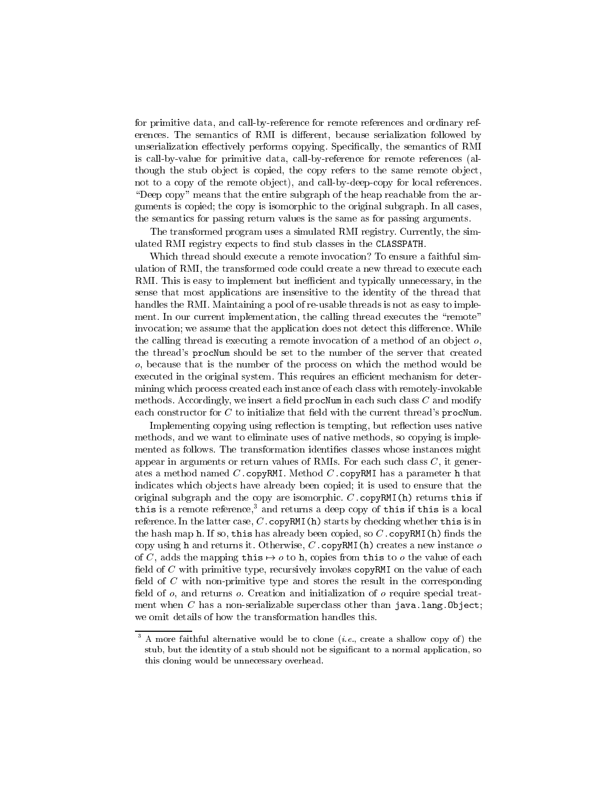for primitive data, and call-by-reference for remote references and ordinary references. The semantics of RMI is different, because serialization followed by unserialization effectively performs copying. Specifically, the semantics of RMI is call-by-value for primitive data, call-by-reference for remote references (although the stub object is copied, the copy refers to the same remote object, not to a copy of the remote ob ject), and call-by-deep-copy for local references. "Deep copy" means that the entire subgraph of the heap reachable from the arguments is copied; the copy is isomorphic to the original subgraph. In all cases, the semantics for passing return values is the same as for passing arguments.

The transformed program uses a simulated RMI registry. Currently, the simulated RMI registry expects to find stub classes in the CLASSPATH.

Which thread should execute a remote invocation? To ensure a faithful simulation of RMI, the transformed code could create a new thread to execute each RMI. This is easy to implement but inefficient and typically unnecessary, in the sense that most applications are insensitive to the identity of the thread that handles the RMI. Maintaining a pool of re-usable threads is not as easy to implement. In our current implementation, the calling thread executes the "remote" invocation; we assume that the application does not detect this difference. While the calling thread is executing a remote invocation of a method of an object  $o$ , the thread's procNum should be set to the number of the server that created o, because that is the number of the process on which the method would be executed in the original system. This requires an efficient mechanism for determining which process created each instance of each class with remotely-invokable methods. Accordingly, we insert a field  $\mathbf p$ rocNum in each such class  $C$  and modify each constructor for  $C$  to initialize that field with the current thread's procNum.

Implementing copying using reflection is tempting, but reflection uses native methods, and we want to eliminate uses of native methods, so copying is implemented as follows. The transformation identifies classes whose instances might appear in arguments or return values of RMIs. For each such class  $C$ , it generates a method named  $C$ .copyRMI. Method  $C$ .copyRMI has a parameter h that indicates which ob jects have already been copied; it is used to ensure that the original subgraph and the copy are isomorphic.  $C$ .copyRMI(h) returns this if this is a remote reference,<sup>3</sup> and returns a deep copy of this if this is a local reference. In the latter case,  $C$ . copyRMI(h) starts by checking whether this is in the hash map h. If so, this has already been copied, so  $C$ .copyRMI(h) finds the copy using h and returns it. Otherwise,  $C$ .copyRMI(h) creates a new instance  $o$ of C, adds the mapping this  $\rightarrow o$  to h, copies from this to o the value of each field of  $C$  with primitive type, recursively invokes copyRMI on the value of each field of  $C$  with non-primitive type and stores the result in the corresponding field of  $o$ , and returns  $o$ . Creation and initialization of  $o$  require special treatment when C has a non-serializable superclass other than  $i$ ava.lang.Object; we omit details of how the transformation handles this.

 $\,$  A more faithful alternative would be to clone (i.e., create a shallow copy of) the stub, but the identity of a stub should not be signicant to a normal application, so this cloning would be unnecessary overhead.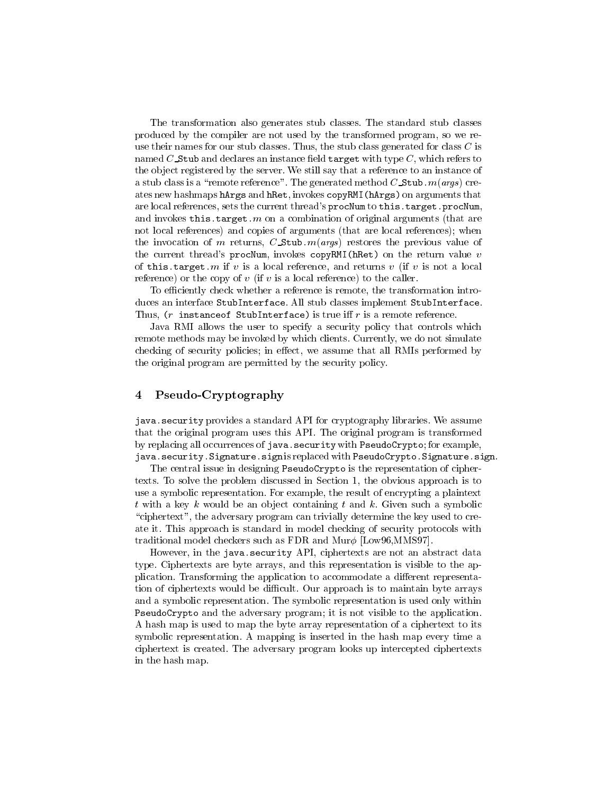The transformation also generates stub classes. The standard stub classes produced by the compiler are not used by the transformed program, so we reuse their names for our stub classes. Thus, the stub class generated for class  $C$  is named  $C_$ Stub and declares an instance field target with type  $C$ , which refers to the ob ject registered by the server. We still say that a reference to an instance of a stub class is a "remote reference". The generated method  $C$  Stub.  $m(args)$  creates new hashmaps hArgs and hRet, invokes copyRMI(hArgs) on arguments that are local references, sets the current thread's procNum to this.target.procNum, and invokes this.target.m on a combination of original arguments (that are not local references) and copies of arguments (that are local references); when the invocation of m returns,  $C$  Stub.  $m(args)$  restores the previous value of the current thread's procNum, invokes copyRMI(hRet) on the return value  $v$ of this.target.m if v is a local reference, and returns v (if v is not a local reference) or the copy of  $v$  (if  $v$  is a local reference) to the caller.

To efficiently check whether a reference is remote, the transformation introduces an interface StubInterface. All stub classes implement StubInterface. Thus, ( $r$  instance of StubInterface) is true iff  $r$  is a remote reference.

Java RMI allows the user to specify a security policy that controls which remote methods may be invoked by which clients. Currently, we do not simulate checking of security policies; in effect, we assume that all RMIs performed by the original program are permitted by the security policy.

#### 4Pseudo-Cryptography

java.security provides a standard API for cryptography libraries. We assume that the original program uses this API. The original program is transformed by replacing all occurrences of java.security with PseudoCrypto; for example, java.security.Signature.sign is replaced with PseudoCrypto.Signature.sign.

The central issue in designing PseudoCrypto is the representation of ciphertexts. To solve the problem discussed in Section 1, the obvious approach is to use a symbolic representation. For example, the result of encrypting a plaintext t with a key k would be an object containing t and k. Given such a symbolic "ciphertext", the adversary program can trivially determine the key used to create it. This approach is standard in model checking of security protocols with traditional model checkers such as FDR and  $\text{Mur}\phi$  [Low96, MMS97].

However, in the java.security API, ciphertexts are not an abstract data type. Ciphertexts are byte arrays, and this representation is visible to the application. Transforming the application to accommodate a different representation of ciphertexts would be difficult. Our approach is to maintain byte arrays and a symbolic representation. The symbolic representation is used only within PseudoCrypto and the adversary program; it is not visible to the application. A hash map is used to map the byte array representation of a ciphertext to its symbolic representation. A mapping is inserted in the hash map every time a ciphertext is created. The adversary program looks up intercepted ciphertexts in the hash map.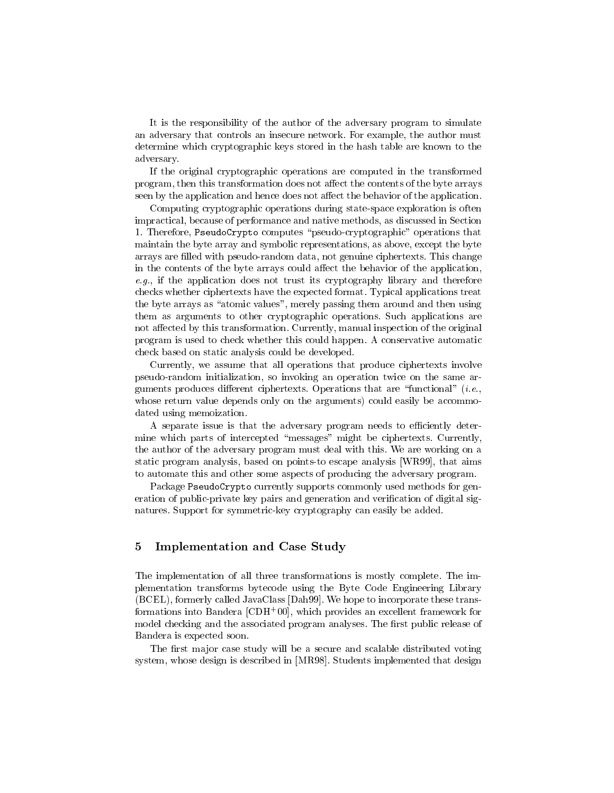It is the responsibility of the author of the adversary program to simulate an adversary that controls an insecure network. For example, the author must determine which cryptographic keys stored in the hash table are known to the adversary.

If the original cryptographic operations are computed in the transformed program, then this transformation does not affect the contents of the byte arrays seen by the application and hence does not affect the behavior of the application.

Computing cryptographic operations during state-space exploration is often impractical, because of performance and native methods, as discussed in Section 1. Therefore, PseudoCrypto computes "pseudo-cryptographic" operations that maintain the byte array and symbolic representations, as above, except the byte arrays are filled with pseudo-random data, not genuine ciphertexts. This change in the contents of the byte arrays could affect the behavior of the application, e.g., if the application does not trust its cryptography library and therefore checks whether ciphertexts have the expected format. Typical applications treat the byte arrays as "atomic values", merely passing them around and then using them as arguments to other cryptographic operations. Such applications are not affected by this transformation. Currently, manual inspection of the original program is used to check whether this could happen. A conservative automatic check based on static analysis could be developed.

Currently, we assume that all operations that produce ciphertexts involve pseudo-random initialization, so invoking an operation twice on the same arguments produces different ciphertexts. Operations that are "functional" (*i.e.*, whose return value depends only on the arguments) could easily be accommodated using memoization.

A separate issue is that the adversary program needs to efficiently determine which parts of intercepted "messages" might be ciphertexts. Currently, the author of the adversary program must deal with this. We are working on a static program analysis, based on points-to escape analysis [WR99], that aims to automate this and other some aspects of producing the adversary program.

Package PseudoCrypto currently supports commonly used methods for generation of public-private key pairs and generation and verification of digital signatures. Support for symmetric-key cryptography can easily be added.

## 5Implementation and Case Study

The implementation of all three transformations is mostly complete. The implementation transforms bytecode using the Byte Code Engineering Library (BCEL), formerly called JavaClass [Dah99]. We hope to incorporate these transformations into Bandera [CDH+ 00], which provides an excellent framework for model checking and the associated program analyses. The first public release of Bandera is expected soon.

The first major case study will be a secure and scalable distributed voting system, whose design is described in [MR98]. Students implemented that design